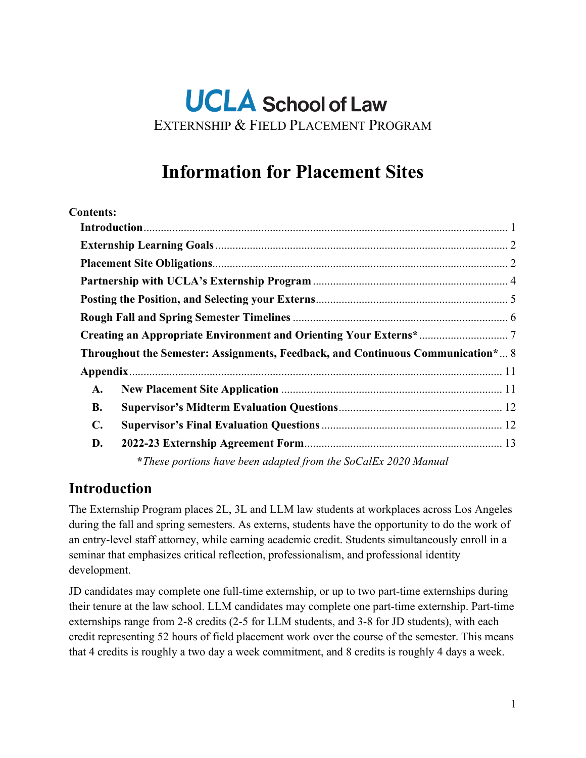# **UCLA** School of Law EXTERNSHIP & FIELD PLACEMENT PROGRAM

# **Information for Placement Sites**

#### **Contents:**

|                | Throughout the Semester: Assignments, Feedback, and Continuous Communication* 8 |  |
|----------------|---------------------------------------------------------------------------------|--|
|                |                                                                                 |  |
| A.             |                                                                                 |  |
| <b>B.</b>      |                                                                                 |  |
| $\mathbf{C}$ . |                                                                                 |  |
| D.             |                                                                                 |  |
|                | *These portions have been adapted from the SoCalEx 2020 Manual                  |  |

#### <span id="page-0-0"></span>**Introduction**

The Externship Program places 2L, 3L and LLM law students at workplaces across Los Angeles during the fall and spring semesters. As externs, students have the opportunity to do the work of an entry-level staff attorney, while earning academic credit. Students simultaneously enroll in a seminar that emphasizes critical reflection, professionalism, and professional identity development.

JD candidates may complete one full-time externship, or up to two part-time externships during their tenure at the law school. LLM candidates may complete one part-time externship. Part-time externships range from 2-8 credits (2-5 for LLM students, and 3-8 for JD students), with each credit representing 52 hours of field placement work over the course of the semester. This means that 4 credits is roughly a two day a week commitment, and 8 credits is roughly 4 days a week.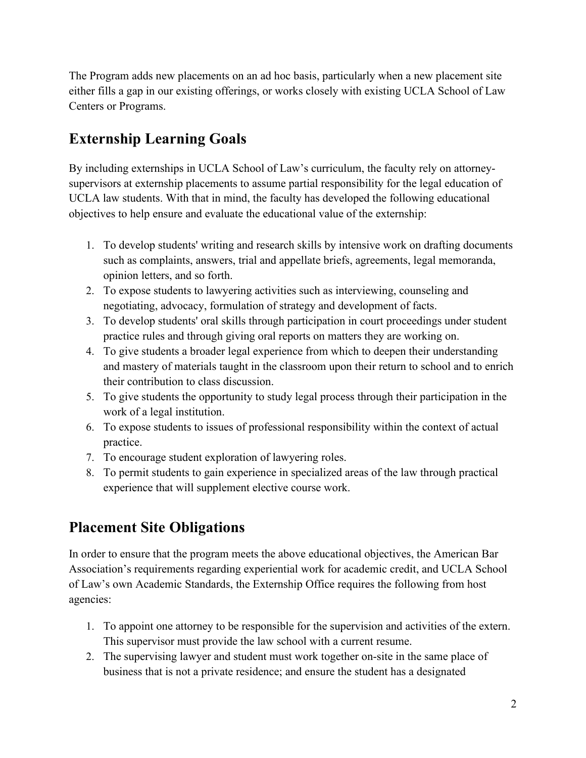The Program adds new placements on an ad hoc basis, particularly when a new placement site either fills a gap in our existing offerings, or works closely with existing UCLA School of Law Centers or Programs.

## <span id="page-1-0"></span>**Externship Learning Goals**

By including externships in UCLA School of Law's curriculum, the faculty rely on attorneysupervisors at externship placements to assume partial responsibility for the legal education of UCLA law students. With that in mind, the faculty has developed the following educational objectives to help ensure and evaluate the educational value of the externship:

- 1. To develop students' writing and research skills by intensive work on drafting documents such as complaints, answers, trial and appellate briefs, agreements, legal memoranda, opinion letters, and so forth.
- 2. To expose students to lawyering activities such as interviewing, counseling and negotiating, advocacy, formulation of strategy and development of facts.
- 3. To develop students' oral skills through participation in court proceedings under student practice rules and through giving oral reports on matters they are working on.
- 4. To give students a broader legal experience from which to deepen their understanding and mastery of materials taught in the classroom upon their return to school and to enrich their contribution to class discussion.
- 5. To give students the opportunity to study legal process through their participation in the work of a legal institution.
- 6. To expose students to issues of professional responsibility within the context of actual practice.
- 7. To encourage student exploration of lawyering roles.
- 8. To permit students to gain experience in specialized areas of the law through practical experience that will supplement elective course work.

## <span id="page-1-1"></span>**Placement Site Obligations**

In order to ensure that the program meets the above educational objectives, the American Bar Association's requirements regarding experiential work for academic credit, and UCLA School of Law's own Academic Standards, the Externship Office requires the following from host agencies:

- 1. To appoint one attorney to be responsible for the supervision and activities of the extern. This supervisor must provide the law school with a current resume.
- 2. The supervising lawyer and student must work together on-site in the same place of business that is not a private residence; and ensure the student has a designated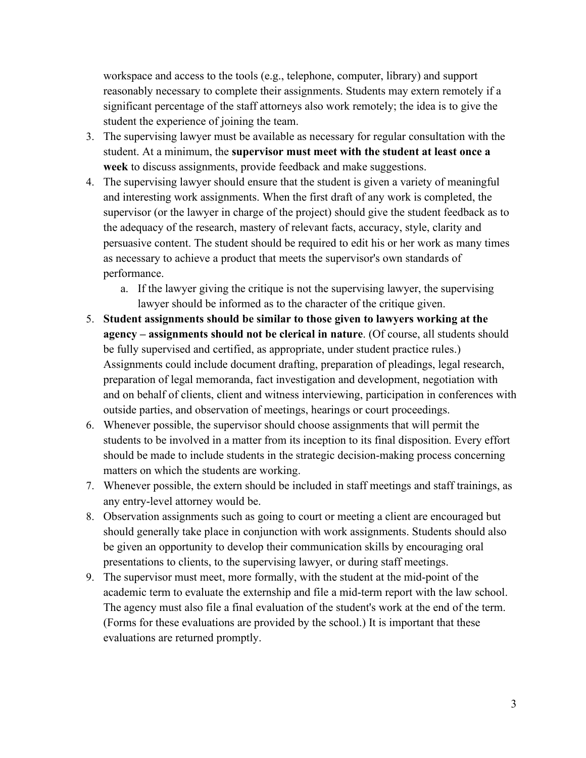workspace and access to the tools (e.g., telephone, computer, library) and support reasonably necessary to complete their assignments. Students may extern remotely if a significant percentage of the staff attorneys also work remotely; the idea is to give the student the experience of joining the team.

- 3. The supervising lawyer must be available as necessary for regular consultation with the student. At a minimum, the **supervisor must meet with the student at least once a week** to discuss assignments, provide feedback and make suggestions.
- 4. The supervising lawyer should ensure that the student is given a variety of meaningful and interesting work assignments. When the first draft of any work is completed, the supervisor (or the lawyer in charge of the project) should give the student feedback as to the adequacy of the research, mastery of relevant facts, accuracy, style, clarity and persuasive content. The student should be required to edit his or her work as many times as necessary to achieve a product that meets the supervisor's own standards of performance.
	- a. If the lawyer giving the critique is not the supervising lawyer, the supervising lawyer should be informed as to the character of the critique given.
- 5. **Student assignments should be similar to those given to lawyers working at the agency – assignments should not be clerical in nature**. (Of course, all students should be fully supervised and certified, as appropriate, under student practice rules.) Assignments could include document drafting, preparation of pleadings, legal research, preparation of legal memoranda, fact investigation and development, negotiation with and on behalf of clients, client and witness interviewing, participation in conferences with outside parties, and observation of meetings, hearings or court proceedings.
- 6. Whenever possible, the supervisor should choose assignments that will permit the students to be involved in a matter from its inception to its final disposition. Every effort should be made to include students in the strategic decision-making process concerning matters on which the students are working.
- 7. Whenever possible, the extern should be included in staff meetings and staff trainings, as any entry-level attorney would be.
- 8. Observation assignments such as going to court or meeting a client are encouraged but should generally take place in conjunction with work assignments. Students should also be given an opportunity to develop their communication skills by encouraging oral presentations to clients, to the supervising lawyer, or during staff meetings.
- 9. The supervisor must meet, more formally, with the student at the mid-point of the academic term to evaluate the externship and file a mid-term report with the law school. The agency must also file a final evaluation of the student's work at the end of the term. (Forms for these evaluations are provided by the school.) It is important that these evaluations are returned promptly.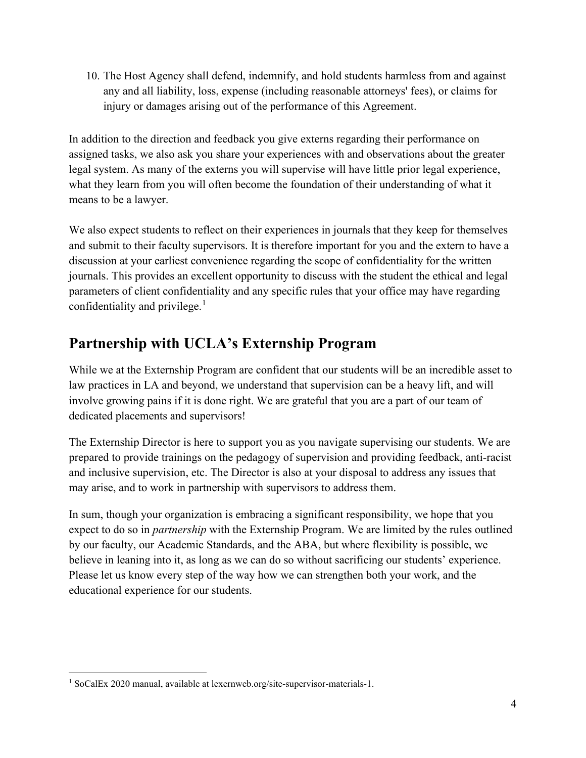10. The Host Agency shall defend, indemnify, and hold students harmless from and against any and all liability, loss, expense (including reasonable attorneys' fees), or claims for injury or damages arising out of the performance of this Agreement.

In addition to the direction and feedback you give externs regarding their performance on assigned tasks, we also ask you share your experiences with and observations about the greater legal system. As many of the externs you will supervise will have little prior legal experience, what they learn from you will often become the foundation of their understanding of what it means to be a lawyer.

We also expect students to reflect on their experiences in journals that they keep for themselves and submit to their faculty supervisors. It is therefore important for you and the extern to have a discussion at your earliest convenience regarding the scope of confidentiality for the written journals. This provides an excellent opportunity to discuss with the student the ethical and legal parameters of client confidentiality and any specific rules that your office may have regarding confidentiality and privilege.<sup>[1](#page-3-1)</sup>

# <span id="page-3-0"></span>**Partnership with UCLA's Externship Program**

While we at the Externship Program are confident that our students will be an incredible asset to law practices in LA and beyond, we understand that supervision can be a heavy lift, and will involve growing pains if it is done right. We are grateful that you are a part of our team of dedicated placements and supervisors!

The Externship Director is here to support you as you navigate supervising our students. We are prepared to provide trainings on the pedagogy of supervision and providing feedback, anti-racist and inclusive supervision, etc. The Director is also at your disposal to address any issues that may arise, and to work in partnership with supervisors to address them.

In sum, though your organization is embracing a significant responsibility, we hope that you expect to do so in *partnership* with the Externship Program. We are limited by the rules outlined by our faculty, our Academic Standards, and the ABA, but where flexibility is possible, we believe in leaning into it, as long as we can do so without sacrificing our students' experience. Please let us know every step of the way how we can strengthen both your work, and the educational experience for our students.

<span id="page-3-1"></span><sup>&</sup>lt;sup>1</sup> SoCalEx 2020 manual, available at lexernweb.org/site-supervisor-materials-1.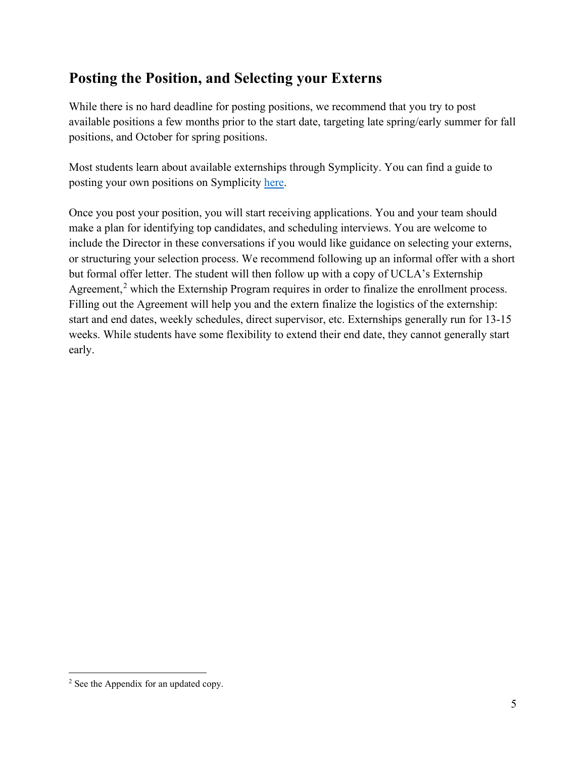### <span id="page-4-0"></span>**Posting the Position, and Selecting your Externs**

While there is no hard deadline for posting positions, we recommend that you try to post available positions a few months prior to the start date, targeting late spring/early summer for fall positions, and October for spring positions.

Most students learn about available externships through Symplicity. You can find a guide to posting your own positions on Symplicity [here.](https://libguides.law.ucla.edu/c.php?g=1154908&p=8444443)

Once you post your position, you will start receiving applications. You and your team should make a plan for identifying top candidates, and scheduling interviews. You are welcome to include the Director in these conversations if you would like guidance on selecting your externs, or structuring your selection process. We recommend following up an informal offer with a short but formal offer letter. The student will then follow up with a copy of UCLA's Externship Agreement,<sup>[2](#page-4-1)</sup> which the Externship Program requires in order to finalize the enrollment process. Filling out the Agreement will help you and the extern finalize the logistics of the externship: start and end dates, weekly schedules, direct supervisor, etc. Externships generally run for 13-15 weeks. While students have some flexibility to extend their end date, they cannot generally start early.

<span id="page-4-1"></span><sup>2</sup> See the Appendix for an updated copy.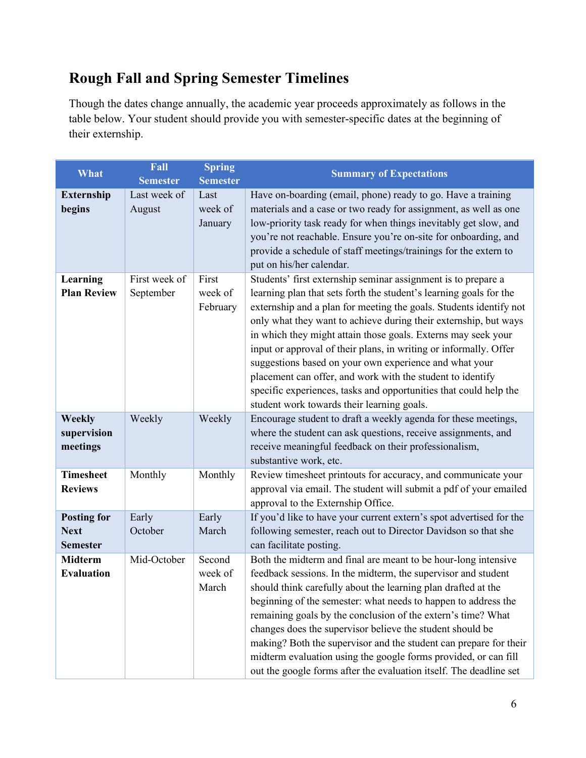# <span id="page-5-0"></span>**Rough Fall and Spring Semester Timelines**

Though the dates change annually, the academic year proceeds approximately as follows in the table below. Your student should provide you with semester-specific dates at the beginning of their externship.

| What                                                 | Fall<br><b>Semester</b>    | <b>Spring</b><br><b>Semester</b> | <b>Summary of Expectations</b>                                                                                                                                                                                                                                                                                                                                                                                                                                                                                                                                                                                                                                 |
|------------------------------------------------------|----------------------------|----------------------------------|----------------------------------------------------------------------------------------------------------------------------------------------------------------------------------------------------------------------------------------------------------------------------------------------------------------------------------------------------------------------------------------------------------------------------------------------------------------------------------------------------------------------------------------------------------------------------------------------------------------------------------------------------------------|
| <b>Externship</b><br>begins                          | Last week of<br>August     | Last<br>week of<br>January       | Have on-boarding (email, phone) ready to go. Have a training<br>materials and a case or two ready for assignment, as well as one<br>low-priority task ready for when things inevitably get slow, and<br>you're not reachable. Ensure you're on-site for onboarding, and<br>provide a schedule of staff meetings/trainings for the extern to<br>put on his/her calendar.                                                                                                                                                                                                                                                                                        |
| Learning<br><b>Plan Review</b>                       | First week of<br>September | First<br>week of<br>February     | Students' first externship seminar assignment is to prepare a<br>learning plan that sets forth the student's learning goals for the<br>externship and a plan for meeting the goals. Students identify not<br>only what they want to achieve during their externship, but ways<br>in which they might attain those goals. Externs may seek your<br>input or approval of their plans, in writing or informally. Offer<br>suggestions based on your own experience and what your<br>placement can offer, and work with the student to identify<br>specific experiences, tasks and opportunities that could help the<br>student work towards their learning goals. |
| <b>Weekly</b><br>supervision<br>meetings             | Weekly                     | Weekly                           | Encourage student to draft a weekly agenda for these meetings,<br>where the student can ask questions, receive assignments, and<br>receive meaningful feedback on their professionalism,<br>substantive work, etc.                                                                                                                                                                                                                                                                                                                                                                                                                                             |
| <b>Timesheet</b><br><b>Reviews</b>                   | Monthly                    | Monthly                          | Review timesheet printouts for accuracy, and communicate your<br>approval via email. The student will submit a pdf of your emailed<br>approval to the Externship Office.                                                                                                                                                                                                                                                                                                                                                                                                                                                                                       |
| <b>Posting for</b><br><b>Next</b><br><b>Semester</b> | Early<br>October           | Early<br>March                   | If you'd like to have your current extern's spot advertised for the<br>following semester, reach out to Director Davidson so that she<br>can facilitate posting.                                                                                                                                                                                                                                                                                                                                                                                                                                                                                               |
| <b>Midterm</b><br><b>Evaluation</b>                  | Mid-October                | Second<br>week of<br>March       | Both the midterm and final are meant to be hour-long intensive<br>feedback sessions. In the midterm, the supervisor and student<br>should think carefully about the learning plan drafted at the<br>beginning of the semester: what needs to happen to address the<br>remaining goals by the conclusion of the extern's time? What<br>changes does the supervisor believe the student should be<br>making? Both the supervisor and the student can prepare for their<br>midterm evaluation using the google forms provided, or can fill<br>out the google forms after the evaluation itself. The deadline set                                                  |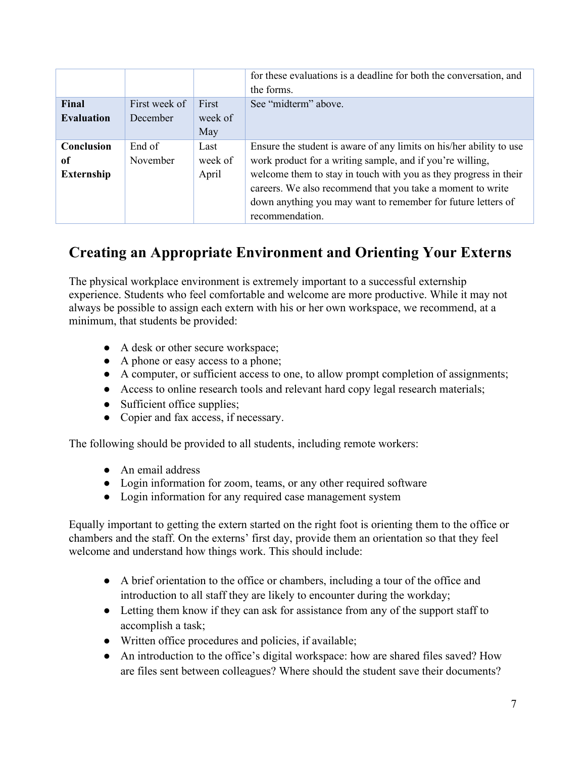|                                       |                           |                          | for these evaluations is a deadline for both the conversation, and<br>the forms.                                                                                                                                                                                                                                                                      |
|---------------------------------------|---------------------------|--------------------------|-------------------------------------------------------------------------------------------------------------------------------------------------------------------------------------------------------------------------------------------------------------------------------------------------------------------------------------------------------|
| Final<br><b>Evaluation</b>            | First week of<br>December | First<br>week of<br>May  | See "midterm" above.                                                                                                                                                                                                                                                                                                                                  |
| Conclusion<br>of<br><b>Externship</b> | End of<br>November        | Last<br>week of<br>April | Ensure the student is aware of any limits on his/her ability to use<br>work product for a writing sample, and if you're willing,<br>welcome them to stay in touch with you as they progress in their<br>careers. We also recommend that you take a moment to write<br>down anything you may want to remember for future letters of<br>recommendation. |

## <span id="page-6-0"></span>**Creating an Appropriate Environment and Orienting Your Externs**

The physical workplace environment is extremely important to a successful externship experience. Students who feel comfortable and welcome are more productive. While it may not always be possible to assign each extern with his or her own workspace, we recommend, at a minimum, that students be provided:

- A desk or other secure workspace;
- A phone or easy access to a phone;
- A computer, or sufficient access to one, to allow prompt completion of assignments;
- Access to online research tools and relevant hard copy legal research materials;
- Sufficient office supplies;
- Copier and fax access, if necessary.

The following should be provided to all students, including remote workers:

- An email address
- Login information for zoom, teams, or any other required software
- Login information for any required case management system

Equally important to getting the extern started on the right foot is orienting them to the office or chambers and the staff. On the externs' first day, provide them an orientation so that they feel welcome and understand how things work. This should include:

- A brief orientation to the office or chambers, including a tour of the office and introduction to all staff they are likely to encounter during the workday;
- Letting them know if they can ask for assistance from any of the support staff to accomplish a task;
- Written office procedures and policies, if available;
- An introduction to the office's digital workspace: how are shared files saved? How are files sent between colleagues? Where should the student save their documents?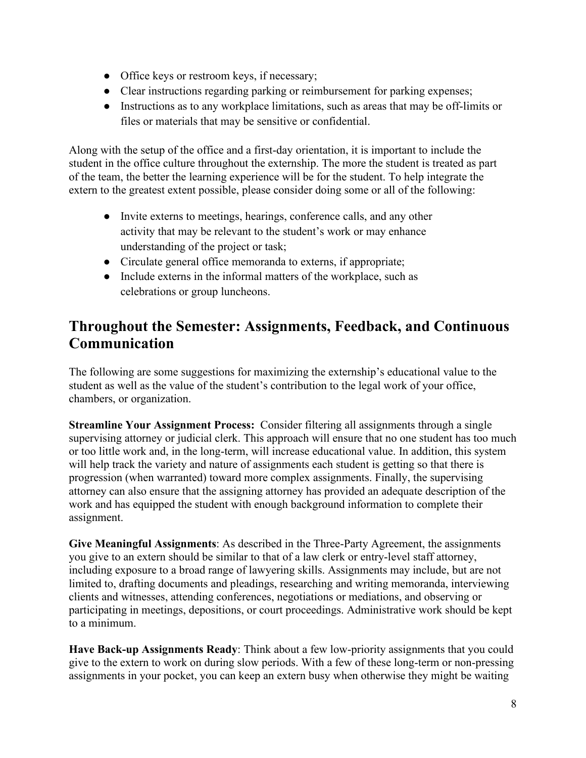- Office keys or restroom keys, if necessary;
- Clear instructions regarding parking or reimbursement for parking expenses;
- Instructions as to any workplace limitations, such as areas that may be off-limits or files or materials that may be sensitive or confidential.

Along with the setup of the office and a first-day orientation, it is important to include the student in the office culture throughout the externship. The more the student is treated as part of the team, the better the learning experience will be for the student. To help integrate the extern to the greatest extent possible, please consider doing some or all of the following:

- Invite externs to meetings, hearings, conference calls, and any other activity that may be relevant to the student's work or may enhance understanding of the project or task;
- Circulate general office memoranda to externs, if appropriate;
- Include externs in the informal matters of the workplace, such as celebrations or group luncheons.

### <span id="page-7-0"></span>**Throughout the Semester: Assignments, Feedback, and Continuous Communication**

The following are some suggestions for maximizing the externship's educational value to the student as well as the value of the student's contribution to the legal work of your office, chambers, or organization.

**Streamline Your Assignment Process:** Consider filtering all assignments through a single supervising attorney or judicial clerk. This approach will ensure that no one student has too much or too little work and, in the long-term, will increase educational value. In addition, this system will help track the variety and nature of assignments each student is getting so that there is progression (when warranted) toward more complex assignments. Finally, the supervising attorney can also ensure that the assigning attorney has provided an adequate description of the work and has equipped the student with enough background information to complete their assignment.

**Give Meaningful Assignments**: As described in the Three-Party Agreement, the assignments you give to an extern should be similar to that of a law clerk or entry-level staff attorney, including exposure to a broad range of lawyering skills. Assignments may include, but are not limited to, drafting documents and pleadings, researching and writing memoranda, interviewing clients and witnesses, attending conferences, negotiations or mediations, and observing or participating in meetings, depositions, or court proceedings. Administrative work should be kept to a minimum.

**Have Back-up Assignments Ready**: Think about a few low-priority assignments that you could give to the extern to work on during slow periods. With a few of these long-term or non-pressing assignments in your pocket, you can keep an extern busy when otherwise they might be waiting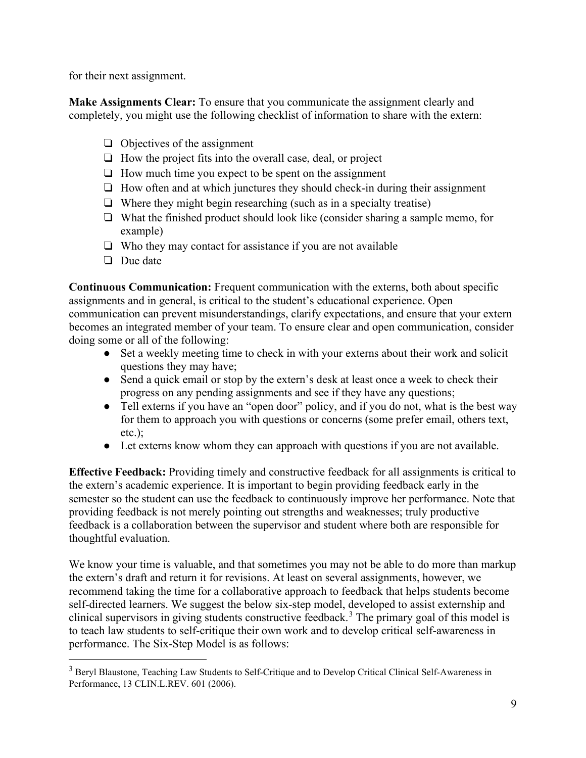for their next assignment.

**Make Assignments Clear:** To ensure that you communicate the assignment clearly and completely, you might use the following checklist of information to share with the extern:

- ❏ Objectives of the assignment
- ❏ How the project fits into the overall case, deal, or project
- ❏ How much time you expect to be spent on the assignment
- ❏ How often and at which junctures they should check-in during their assignment
- ❏ Where they might begin researching (such as in a specialty treatise)
- ❏ What the finished product should look like (consider sharing a sample memo, for example)
- ❏ Who they may contact for assistance if you are not available
- ❏ Due date

**Continuous Communication:** Frequent communication with the externs, both about specific assignments and in general, is critical to the student's educational experience. Open communication can prevent misunderstandings, clarify expectations, and ensure that your extern becomes an integrated member of your team. To ensure clear and open communication, consider doing some or all of the following:

- Set a weekly meeting time to check in with your externs about their work and solicit questions they may have;
- Send a quick email or stop by the extern's desk at least once a week to check their progress on any pending assignments and see if they have any questions;
- Tell externs if you have an "open door" policy, and if you do not, what is the best way for them to approach you with questions or concerns (some prefer email, others text, etc.);
- Let externs know whom they can approach with questions if you are not available.

**Effective Feedback:** Providing timely and constructive feedback for all assignments is critical to the extern's academic experience. It is important to begin providing feedback early in the semester so the student can use the feedback to continuously improve her performance. Note that providing feedback is not merely pointing out strengths and weaknesses; truly productive feedback is a collaboration between the supervisor and student where both are responsible for thoughtful evaluation.

We know your time is valuable, and that sometimes you may not be able to do more than markup the extern's draft and return it for revisions. At least on several assignments, however, we recommend taking the time for a collaborative approach to feedback that helps students become self-directed learners. We suggest the below six-step model, developed to assist externship and clinical supervisors in giving students constructive feedback.<sup>[3](#page-8-0)</sup> The primary goal of this model is to teach law students to self-critique their own work and to develop critical self-awareness in performance. The Six-Step Model is as follows:

<span id="page-8-0"></span><sup>&</sup>lt;sup>3</sup> Beryl Blaustone, Teaching Law Students to Self-Critique and to Develop Critical Clinical Self-Awareness in Performance, 13 CLIN.L.REV. 601 (2006).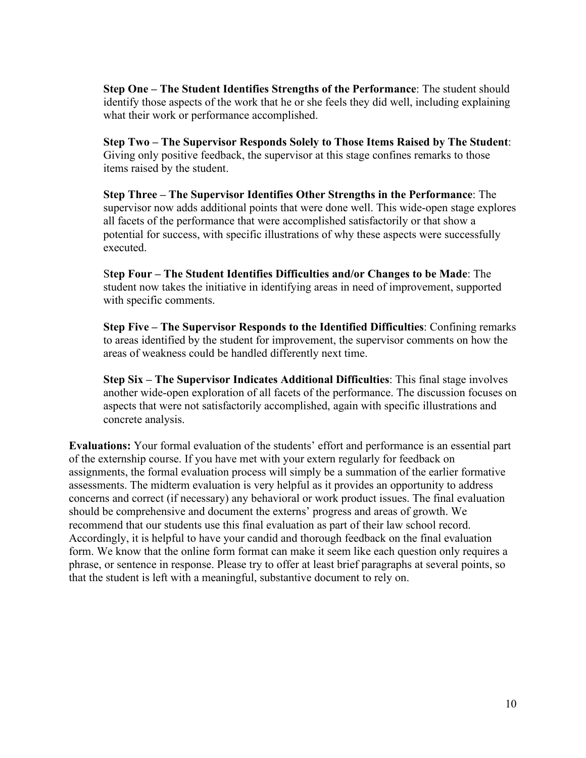**Step One – The Student Identifies Strengths of the Performance**: The student should identify those aspects of the work that he or she feels they did well, including explaining what their work or performance accomplished.

**Step Two – The Supervisor Responds Solely to Those Items Raised by The Student**: Giving only positive feedback, the supervisor at this stage confines remarks to those items raised by the student.

**Step Three – The Supervisor Identifies Other Strengths in the Performance**: The supervisor now adds additional points that were done well. This wide-open stage explores all facets of the performance that were accomplished satisfactorily or that show a potential for success, with specific illustrations of why these aspects were successfully executed.

S**tep Four – The Student Identifies Difficulties and/or Changes to be Made**: The student now takes the initiative in identifying areas in need of improvement, supported with specific comments.

**Step Five – The Supervisor Responds to the Identified Difficulties**: Confining remarks to areas identified by the student for improvement, the supervisor comments on how the areas of weakness could be handled differently next time.

**Step Six – The Supervisor Indicates Additional Difficulties**: This final stage involves another wide-open exploration of all facets of the performance. The discussion focuses on aspects that were not satisfactorily accomplished, again with specific illustrations and concrete analysis.

**Evaluations:** Your formal evaluation of the students' effort and performance is an essential part of the externship course. If you have met with your extern regularly for feedback on assignments, the formal evaluation process will simply be a summation of the earlier formative assessments. The midterm evaluation is very helpful as it provides an opportunity to address concerns and correct (if necessary) any behavioral or work product issues. The final evaluation should be comprehensive and document the externs' progress and areas of growth. We recommend that our students use this final evaluation as part of their law school record. Accordingly, it is helpful to have your candid and thorough feedback on the final evaluation form. We know that the online form format can make it seem like each question only requires a phrase, or sentence in response. Please try to offer at least brief paragraphs at several points, so that the student is left with a meaningful, substantive document to rely on.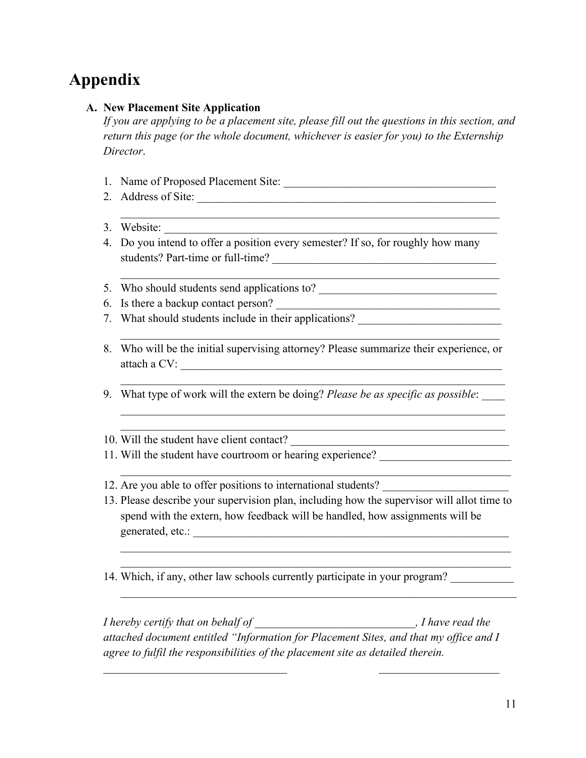# <span id="page-10-0"></span>**Appendix**

#### <span id="page-10-1"></span>**A. New Placement Site Application**

*If you are applying to be a placement site, please fill out the questions in this section, and return this page (or the whole document, whichever is easier for you) to the Externship Director*.

- 1. Name of Proposed Placement Site:
- 2. Address of Site: \_\_\_\_\_\_\_\_\_\_\_\_\_\_\_\_\_\_\_\_\_\_\_\_\_\_\_\_\_\_\_\_\_\_\_\_\_\_\_\_\_\_\_\_\_\_\_\_\_\_\_\_
- 3. Website:
- 4. Do you intend to offer a position every semester? If so, for roughly how many students? Part-time or full-time? \_\_\_\_\_\_\_\_\_\_\_\_\_\_\_\_\_\_\_\_\_\_\_\_\_\_\_\_\_\_\_\_\_\_\_\_\_\_\_

 $\mathcal{L}_\mathcal{L} = \mathcal{L}_\mathcal{L} = \mathcal{L}_\mathcal{L} = \mathcal{L}_\mathcal{L} = \mathcal{L}_\mathcal{L} = \mathcal{L}_\mathcal{L} = \mathcal{L}_\mathcal{L} = \mathcal{L}_\mathcal{L} = \mathcal{L}_\mathcal{L} = \mathcal{L}_\mathcal{L} = \mathcal{L}_\mathcal{L} = \mathcal{L}_\mathcal{L} = \mathcal{L}_\mathcal{L} = \mathcal{L}_\mathcal{L} = \mathcal{L}_\mathcal{L} = \mathcal{L}_\mathcal{L} = \mathcal{L}_\mathcal{L}$ 

- 5. Who should students send applications to?
- 6. Is there a backup contact person? \_\_\_\_\_\_\_\_\_\_\_\_\_\_\_\_\_\_\_\_\_\_\_\_\_\_\_\_\_\_\_\_\_\_\_\_\_\_\_
- 7. What should students include in their applications?
- 8. Who will be the initial supervising attorney? Please summarize their experience, or attach a CV:

 $\mathcal{L}_\text{G}$ 

 $\mathcal{L}_\mathcal{L} = \mathcal{L}_\mathcal{L} = \mathcal{L}_\mathcal{L} = \mathcal{L}_\mathcal{L} = \mathcal{L}_\mathcal{L} = \mathcal{L}_\mathcal{L} = \mathcal{L}_\mathcal{L} = \mathcal{L}_\mathcal{L} = \mathcal{L}_\mathcal{L} = \mathcal{L}_\mathcal{L} = \mathcal{L}_\mathcal{L} = \mathcal{L}_\mathcal{L} = \mathcal{L}_\mathcal{L} = \mathcal{L}_\mathcal{L} = \mathcal{L}_\mathcal{L} = \mathcal{L}_\mathcal{L} = \mathcal{L}_\mathcal{L}$ 

9. What type of work will the extern be doing? *Please be as specific as possible*: \_\_\_\_

10. Will the student have client contact?

- 11. Will the student have courtroom or hearing experience?
- 12. Are you able to offer positions to international students?
- 13. Please describe your supervision plan, including how the supervisor will allot time to spend with the extern, how feedback will be handled, how assignments will be generated, etc.:

 $\mathcal{L}_\text{G}$  , and the contribution of the contribution of the contribution of the contribution of the contribution of the contribution of the contribution of the contribution of the contribution of the contribution of t \_\_\_\_\_\_\_\_\_\_\_\_\_\_\_\_\_\_\_\_\_\_\_\_\_\_\_\_\_\_\_\_\_\_\_\_\_\_\_\_\_\_\_\_\_\_\_\_\_\_\_\_\_\_\_\_\_\_\_\_\_\_\_\_\_\_\_\_

 $\mathcal{L}_\mathcal{L} = \mathcal{L}_\mathcal{L} = \mathcal{L}_\mathcal{L} = \mathcal{L}_\mathcal{L} = \mathcal{L}_\mathcal{L} = \mathcal{L}_\mathcal{L} = \mathcal{L}_\mathcal{L} = \mathcal{L}_\mathcal{L} = \mathcal{L}_\mathcal{L} = \mathcal{L}_\mathcal{L} = \mathcal{L}_\mathcal{L} = \mathcal{L}_\mathcal{L} = \mathcal{L}_\mathcal{L} = \mathcal{L}_\mathcal{L} = \mathcal{L}_\mathcal{L} = \mathcal{L}_\mathcal{L} = \mathcal{L}_\mathcal{L}$ 

14. Which, if any, other law schools currently participate in your program?

*I hereby certify that on behalf of* \_\_\_\_\_\_\_\_\_\_\_\_\_\_\_\_\_\_\_\_\_\_\_\_\_\_\_\_*, I have read the attached document entitled "Information for Placement Sites, and that my office and I agree to fulfil the responsibilities of the placement site as detailed therein.*

*\_\_\_\_\_\_\_\_\_\_\_\_\_\_\_\_\_\_\_\_\_\_\_\_\_\_\_\_\_\_\_\_ \_\_\_\_\_\_\_\_\_\_\_\_\_\_\_\_\_\_\_\_\_*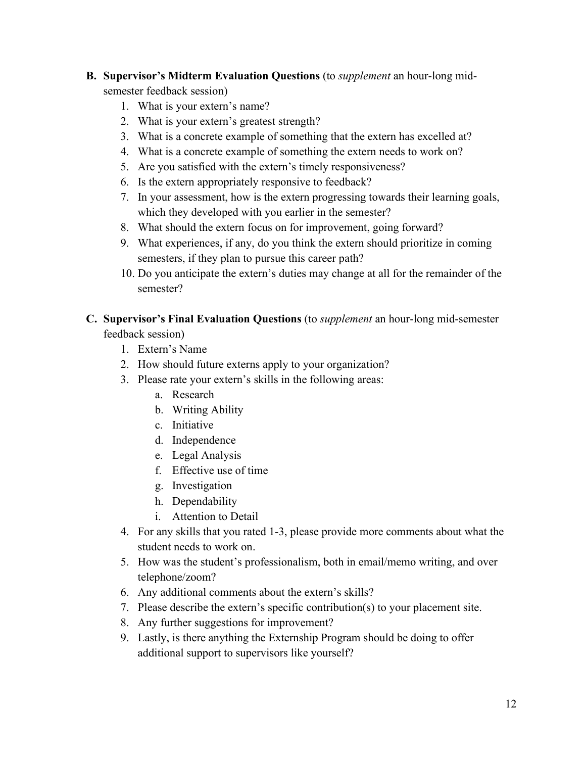#### <span id="page-11-0"></span>**B. Supervisor's Midterm Evaluation Questions** (to *supplement* an hour-long midsemester feedback session)

- 1. What is your extern's name?
- 2. What is your extern's greatest strength?
- 3. What is a concrete example of something that the extern has excelled at?
- 4. What is a concrete example of something the extern needs to work on?
- 5. Are you satisfied with the extern's timely responsiveness?
- 6. Is the extern appropriately responsive to feedback?
- 7. In your assessment, how is the extern progressing towards their learning goals, which they developed with you earlier in the semester?
- 8. What should the extern focus on for improvement, going forward?
- 9. What experiences, if any, do you think the extern should prioritize in coming semesters, if they plan to pursue this career path?
- 10. Do you anticipate the extern's duties may change at all for the remainder of the semester?

#### <span id="page-11-1"></span>**C. Supervisor's Final Evaluation Questions** (to *supplement* an hour-long mid-semester feedback session)

- 1. Extern's Name
- 2. How should future externs apply to your organization?
- 3. Please rate your extern's skills in the following areas:
	- a. Research
	- b. Writing Ability
	- c. Initiative
	- d. Independence
	- e. Legal Analysis
	- f. Effective use of time
	- g. Investigation
	- h. Dependability
	- i. Attention to Detail
- 4. For any skills that you rated 1-3, please provide more comments about what the student needs to work on.
- 5. How was the student's professionalism, both in email/memo writing, and over telephone/zoom?
- 6. Any additional comments about the extern's skills?
- 7. Please describe the extern's specific contribution(s) to your placement site.
- 8. Any further suggestions for improvement?
- 9. Lastly, is there anything the Externship Program should be doing to offer additional support to supervisors like yourself?